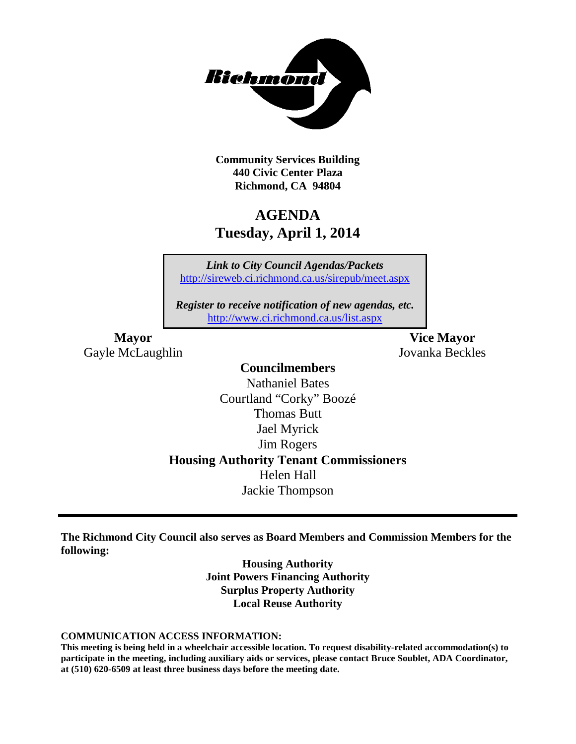

**Community Services Building 440 Civic Center Plaza Richmond, CA 94804**

## **AGENDA Tuesday, April 1, 2014**

*Link to City Council Agendas/Packets* <http://sireweb.ci.richmond.ca.us/sirepub/meet.aspx>

*Register to receive notification of new agendas, etc.* <http://www.ci.richmond.ca.us/list.aspx>

Gayle McLaughlin Jovanka Beckles

**Mayor Vice Mayor**

### **Councilmembers**

Nathaniel Bates Courtland "Corky" Boozé Thomas Butt Jael Myrick Jim Rogers **Housing Authority Tenant Commissioners** Helen Hall Jackie Thompson

**The Richmond City Council also serves as Board Members and Commission Members for the following:**

> **Housing Authority Joint Powers Financing Authority Surplus Property Authority Local Reuse Authority**

#### **COMMUNICATION ACCESS INFORMATION:**

**This meeting is being held in a wheelchair accessible location. To request disability-related accommodation(s) to participate in the meeting, including auxiliary aids or services, please contact Bruce Soublet, ADA Coordinator, at (510) 620-6509 at least three business days before the meeting date.**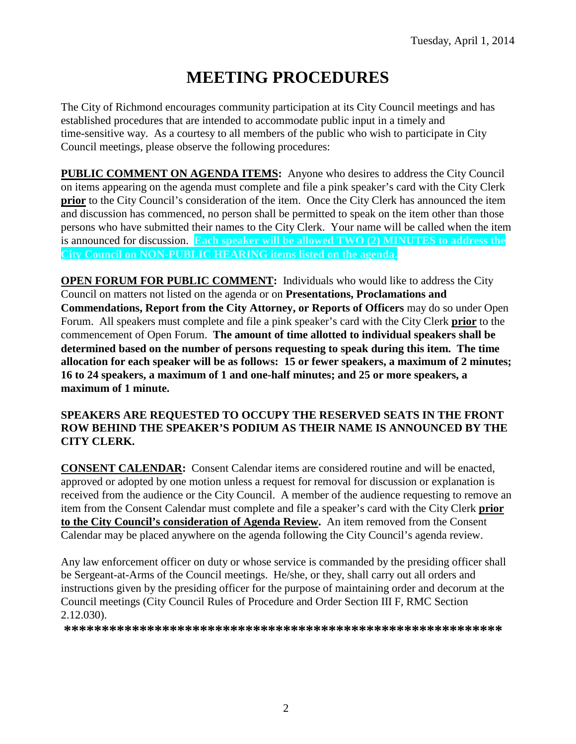# **MEETING PROCEDURES**

The City of Richmond encourages community participation at its City Council meetings and has established procedures that are intended to accommodate public input in a timely and time-sensitive way. As a courtesy to all members of the public who wish to participate in City Council meetings, please observe the following procedures:

**PUBLIC COMMENT ON AGENDA ITEMS:** Anyone who desires to address the City Council on items appearing on the agenda must complete and file a pink speaker's card with the City Clerk **prior** to the City Council's consideration of the item. Once the City Clerk has announced the item and discussion has commenced, no person shall be permitted to speak on the item other than those persons who have submitted their names to the City Clerk. Your name will be called when the item is announced for discussion. **Each speaker will be allowed TWO (2) MINUTES to address the City Council on NON-PUBLIC HEARING items listed on the agenda.**

**OPEN FORUM FOR PUBLIC COMMENT:** Individuals who would like to address the City Council on matters not listed on the agenda or on **Presentations, Proclamations and Commendations, Report from the City Attorney, or Reports of Officers** may do so under Open Forum. All speakers must complete and file a pink speaker's card with the City Clerk **prior** to the commencement of Open Forum. **The amount of time allotted to individual speakers shall be determined based on the number of persons requesting to speak during this item. The time allocation for each speaker will be as follows: 15 or fewer speakers, a maximum of 2 minutes; 16 to 24 speakers, a maximum of 1 and one-half minutes; and 25 or more speakers, a maximum of 1 minute.**

### **SPEAKERS ARE REQUESTED TO OCCUPY THE RESERVED SEATS IN THE FRONT ROW BEHIND THE SPEAKER'S PODIUM AS THEIR NAME IS ANNOUNCED BY THE CITY CLERK.**

**CONSENT CALENDAR:** Consent Calendar items are considered routine and will be enacted, approved or adopted by one motion unless a request for removal for discussion or explanation is received from the audience or the City Council. A member of the audience requesting to remove an item from the Consent Calendar must complete and file a speaker's card with the City Clerk **prior to the City Council's consideration of Agenda Review.** An item removed from the Consent Calendar may be placed anywhere on the agenda following the City Council's agenda review.

Any law enforcement officer on duty or whose service is commanded by the presiding officer shall be Sergeant-at-Arms of the Council meetings. He/she, or they, shall carry out all orders and instructions given by the presiding officer for the purpose of maintaining order and decorum at the Council meetings (City Council Rules of Procedure and Order Section III F, RMC Section 2.12.030).

**\*\*\*\*\*\*\*\*\*\*\*\*\*\*\*\*\*\*\*\*\*\*\*\*\*\*\*\*\*\*\*\*\*\*\*\*\*\*\*\*\*\*\*\*\*\*\*\*\*\*\*\*\*\*\*\*\*\***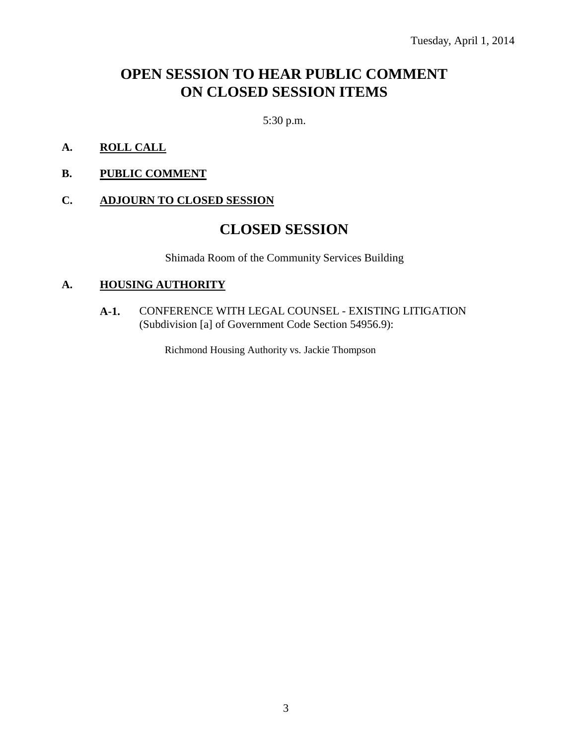## **OPEN SESSION TO HEAR PUBLIC COMMENT ON CLOSED SESSION ITEMS**

5:30 p.m.

- **A. ROLL CALL**
- **B. PUBLIC COMMENT**

### **C. ADJOURN TO CLOSED SESSION**

### **CLOSED SESSION**

Shimada Room of the Community Services Building

### **A. HOUSING AUTHORITY**

**A-1.** CONFERENCE WITH LEGAL COUNSEL - EXISTING LITIGATION (Subdivision [a] of Government Code Section 54956.9):

Richmond Housing Authority vs. Jackie Thompson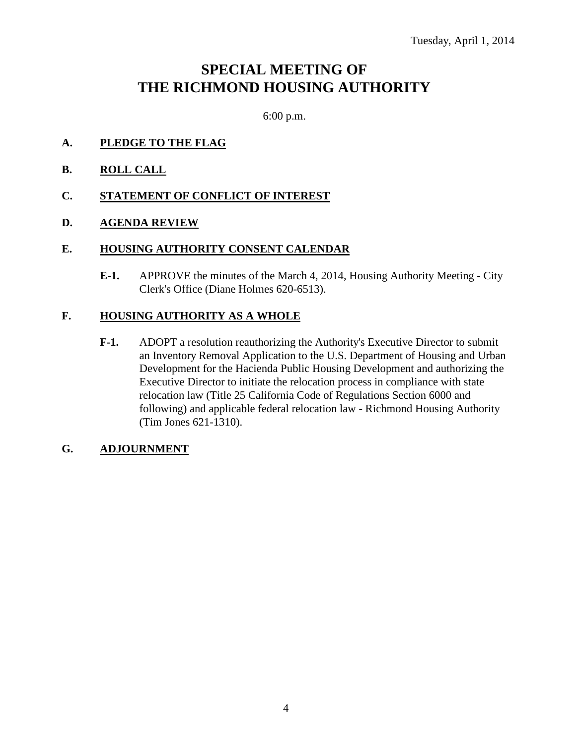### **SPECIAL MEETING OF THE RICHMOND HOUSING AUTHORITY**

6:00 p.m.

- **A. PLEDGE TO THE FLAG**
- **B. ROLL CALL**
- **C. STATEMENT OF CONFLICT OF INTEREST**
- **D. AGENDA REVIEW**

### **E. HOUSING AUTHORITY CONSENT CALENDAR**

**E-1.** APPROVE the minutes of the March 4, 2014, Housing Authority Meeting - City Clerk's Office (Diane Holmes 620-6513).

### **F. HOUSING AUTHORITY AS A WHOLE**

**F-1.** ADOPT a resolution reauthorizing the Authority's Executive Director to submit an Inventory Removal Application to the U.S. Department of Housing and Urban Development for the Hacienda Public Housing Development and authorizing the Executive Director to initiate the relocation process in compliance with state relocation law (Title 25 California Code of Regulations Section 6000 and following) and applicable federal relocation law - Richmond Housing Authority (Tim Jones 621-1310).

### **G. ADJOURNMENT**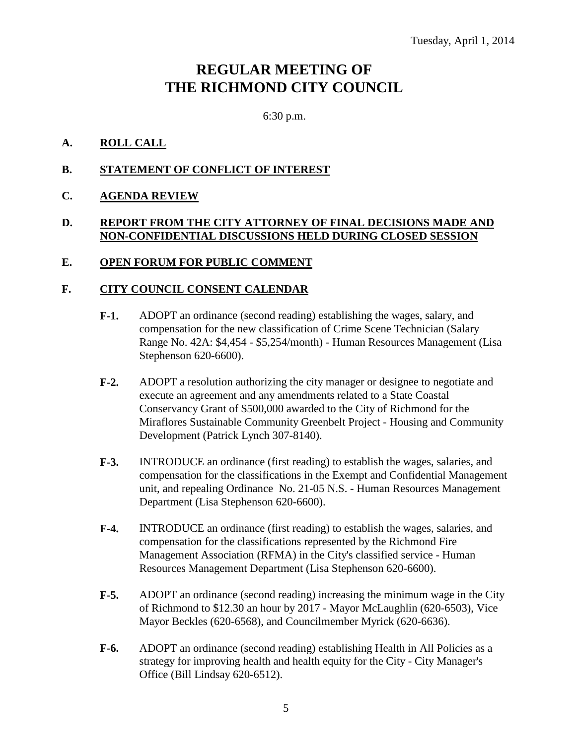## **REGULAR MEETING OF THE RICHMOND CITY COUNCIL**

6:30 p.m.

### **A. ROLL CALL**

### **B. STATEMENT OF CONFLICT OF INTEREST**

### **C. AGENDA REVIEW**

### **D. REPORT FROM THE CITY ATTORNEY OF FINAL DECISIONS MADE AND NON-CONFIDENTIAL DISCUSSIONS HELD DURING CLOSED SESSION**

### **E. OPEN FORUM FOR PUBLIC COMMENT**

### **F. CITY COUNCIL CONSENT CALENDAR**

- **F-1.** ADOPT an ordinance (second reading) establishing the wages, salary, and compensation for the new classification of Crime Scene Technician (Salary Range No. 42A: \$4,454 - \$5,254/month) - Human Resources Management (Lisa Stephenson 620-6600).
- **F-2.** ADOPT a resolution authorizing the city manager or designee to negotiate and execute an agreement and any amendments related to a State Coastal Conservancy Grant of \$500,000 awarded to the City of Richmond for the Miraflores Sustainable Community Greenbelt Project - Housing and Community Development (Patrick Lynch 307-8140).
- **F-3.** INTRODUCE an ordinance (first reading) to establish the wages, salaries, and compensation for the classifications in the Exempt and Confidential Management unit, and repealing Ordinance No. 21-05 N.S. - Human Resources Management Department (Lisa Stephenson 620-6600).
- **F-4.** INTRODUCE an ordinance (first reading) to establish the wages, salaries, and compensation for the classifications represented by the Richmond Fire Management Association (RFMA) in the City's classified service - Human Resources Management Department (Lisa Stephenson 620-6600).
- **F-5.** ADOPT an ordinance (second reading) increasing the minimum wage in the City of Richmond to \$12.30 an hour by 2017 - Mayor McLaughlin (620-6503), Vice Mayor Beckles (620-6568), and Councilmember Myrick (620-6636).
- **F-6.** ADOPT an ordinance (second reading) establishing Health in All Policies as a strategy for improving health and health equity for the City - City Manager's Office (Bill Lindsay 620-6512).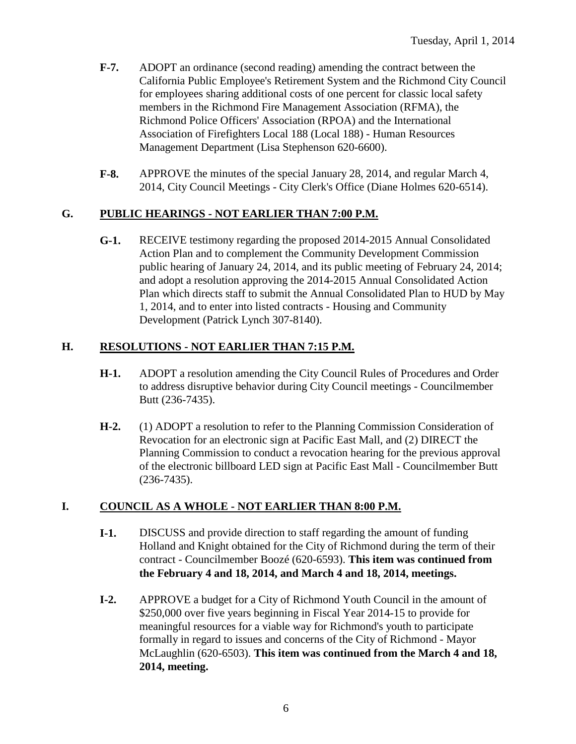- **F-7.** ADOPT an ordinance (second reading) amending the contract between the California Public Employee's Retirement System and the Richmond City Council for employees sharing additional costs of one percent for classic local safety members in the Richmond Fire Management Association (RFMA), the Richmond Police Officers' Association (RPOA) and the International Association of Firefighters Local 188 (Local 188) - Human Resources Management Department (Lisa Stephenson 620-6600).
- **F-8.** APPROVE the minutes of the special January 28, 2014, and regular March 4, 2014, City Council Meetings - City Clerk's Office (Diane Holmes 620-6514).

### **G. PUBLIC HEARINGS - NOT EARLIER THAN 7:00 P.M.**

**G-1.** RECEIVE testimony regarding the proposed 2014-2015 Annual Consolidated Action Plan and to complement the Community Development Commission public hearing of January 24, 2014, and its public meeting of February 24, 2014; and adopt a resolution approving the 2014-2015 Annual Consolidated Action Plan which directs staff to submit the Annual Consolidated Plan to HUD by May 1, 2014, and to enter into listed contracts - Housing and Community Development (Patrick Lynch 307-8140).

### **H. RESOLUTIONS - NOT EARLIER THAN 7:15 P.M.**

- **H-1.** ADOPT a resolution amending the City Council Rules of Procedures and Order to address disruptive behavior during City Council meetings - Councilmember Butt (236-7435).
- **H-2.** (1) ADOPT a resolution to refer to the Planning Commission Consideration of Revocation for an electronic sign at Pacific East Mall, and (2) DIRECT the Planning Commission to conduct a revocation hearing for the previous approval of the electronic billboard LED sign at Pacific East Mall - Councilmember Butt (236-7435).

### **I. COUNCIL AS A WHOLE - NOT EARLIER THAN 8:00 P.M.**

- **I-1.** DISCUSS and provide direction to staff regarding the amount of funding Holland and Knight obtained for the City of Richmond during the term of their contract - Councilmember Boozé (620-6593). **This item was continued from the February 4 and 18, 2014, and March 4 and 18, 2014, meetings.**
- **I-2.** APPROVE a budget for a City of Richmond Youth Council in the amount of \$250,000 over five years beginning in Fiscal Year 2014-15 to provide for meaningful resources for a viable way for Richmond's youth to participate formally in regard to issues and concerns of the City of Richmond - Mayor McLaughlin (620-6503). **This item was continued from the March 4 and 18, 2014, meeting.**